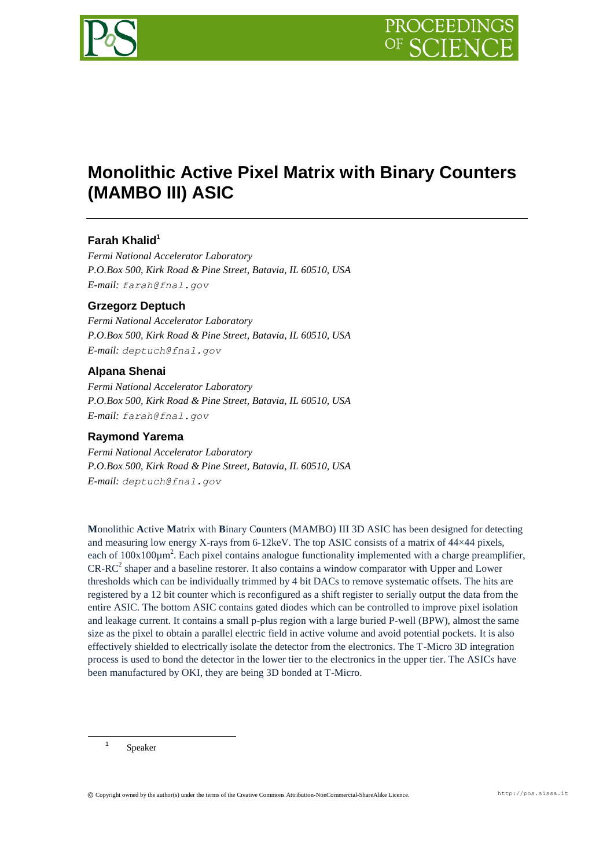

# **Monolithic Active Pixel Matrix with Binary Counters (MAMBO III) ASIC**

## **Farah Khalid<sup>1</sup>**

*Fermi National Accelerator Laboratory P.O.Box 500, Kirk Road & Pine Street, Batavia, IL 60510, USA E-mail: farah@fnal.gov*

## **Grzegorz Deptuch**

*Fermi National Accelerator Laboratory P.O.Box 500, Kirk Road & Pine Street, Batavia, IL 60510, USA E-mail: deptuch@fnal.gov*

#### **Alpana Shenai**

*Fermi National Accelerator Laboratory P.O.Box 500, Kirk Road & Pine Street, Batavia, IL 60510, USA E-mail: farah@fnal.gov*

#### **Raymond Yarema**

*Fermi National Accelerator Laboratory P.O.Box 500, Kirk Road & Pine Street, Batavia, IL 60510, USA E-mail: deptuch@fnal.gov*

**M**onolithic **A**ctive **M**atrix with **B**inary C**o**unters (MAMBO) III 3D ASIC has been designed for detecting and measuring low energy X-rays from 6-12keV. The top ASIC consists of a matrix of 44×44 pixels, each of  $100x100\mu m^2$ . Each pixel contains analogue functionality implemented with a charge preamplifier,  $CR-RC<sup>2</sup>$  shaper and a baseline restorer. It also contains a window comparator with Upper and Lower thresholds which can be individually trimmed by 4 bit DACs to remove systematic offsets. The hits are registered by a 12 bit counter which is reconfigured as a shift register to serially output the data from the entire ASIC. The bottom ASIC contains gated diodes which can be controlled to improve pixel isolation and leakage current. It contains a small p-plus region with a large buried P-well (BPW), almost the same size as the pixel to obtain a parallel electric field in active volume and avoid potential pockets. It is also effectively shielded to electrically isolate the detector from the electronics. The T-Micro 3D integration process is used to bond the detector in the lower tier to the electronics in the upper tier. The ASICs have been manufactured by OKI, they are being 3D bonded at T-Micro.

Speaker

1 1

Copyright owned by the author(s) under the terms of the Creative Commons Attribution-NonCommercial-ShareAlike Licence. http://pos.sissa.it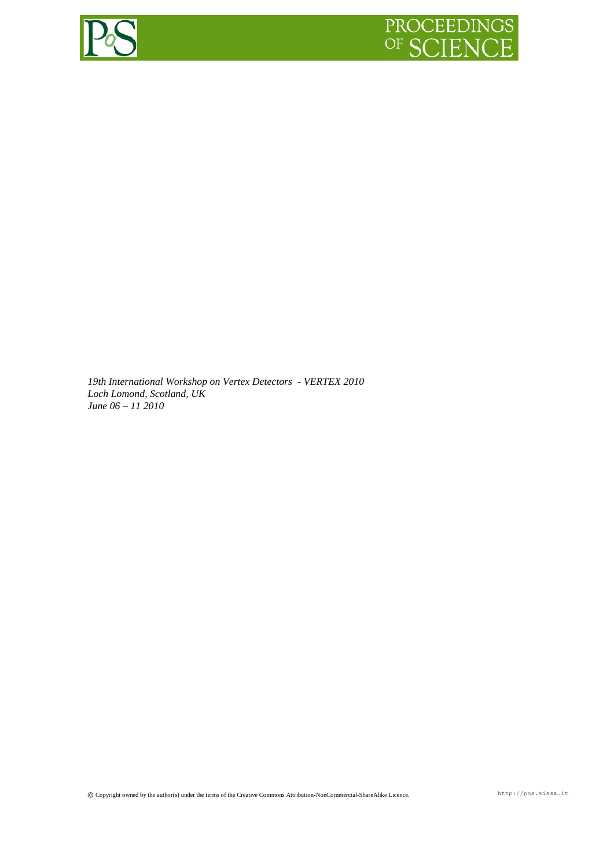

*19th International Workshop on Vertex Detectors - VERTEX 2010 Loch Lomond, Scotland, UK June 06 – 11 2010*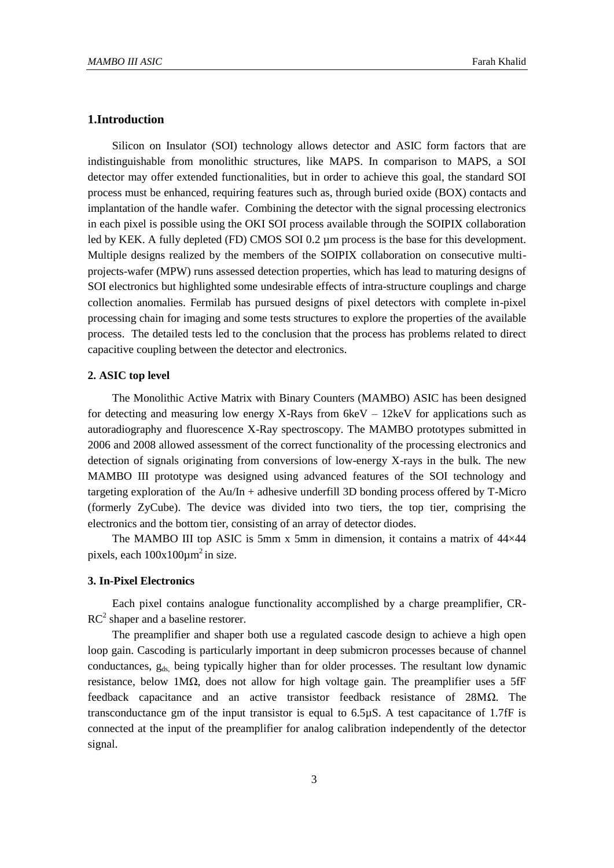## **1.Introduction**

Silicon on Insulator (SOI) technology allows detector and ASIC form factors that are indistinguishable from monolithic structures, like MAPS. In comparison to MAPS, a SOI detector may offer extended functionalities, but in order to achieve this goal, the standard SOI process must be enhanced, requiring features such as, through buried oxide (BOX) contacts and implantation of the handle wafer. Combining the detector with the signal processing electronics in each pixel is possible using the OKI SOI process available through the SOIPIX collaboration led by KEK. A fully depleted (FD) CMOS SOI 0.2 µm process is the base for this development. Multiple designs realized by the members of the SOIPIX collaboration on consecutive multiprojects-wafer (MPW) runs assessed detection properties, which has lead to maturing designs of SOI electronics but highlighted some undesirable effects of intra-structure couplings and charge collection anomalies. Fermilab has pursued designs of pixel detectors with complete in-pixel processing chain for imaging and some tests structures to explore the properties of the available process. The detailed tests led to the conclusion that the process has problems related to direct capacitive coupling between the detector and electronics.

#### **2. ASIC top level**

The Monolithic Active Matrix with Binary Counters (MAMBO) ASIC has been designed for detecting and measuring low energy X-Rays from  $6k$ eV – 12keV for applications such as autoradiography and fluorescence X-Ray spectroscopy. The MAMBO prototypes submitted in 2006 and 2008 allowed assessment of the correct functionality of the processing electronics and detection of signals originating from conversions of low-energy X-rays in the bulk. The new MAMBO III prototype was designed using advanced features of the SOI technology and targeting exploration of the  $Au/In + adhesive$  underfill 3D bonding process offered by T-Micro (formerly ZyCube). The device was divided into two tiers, the top tier, comprising the electronics and the bottom tier, consisting of an array of detector diodes.

The MAMBO III top ASIC is 5mm x 5mm in dimension, it contains a matrix of  $44\times44$ pixels, each  $100x100\mu m^2$  in size.

## **3. In-Pixel Electronics**

Each pixel contains analogue functionality accomplished by a charge preamplifier, CR- $RC<sup>2</sup>$  shaper and a baseline restorer.

The preamplifier and shaper both use a regulated cascode design to achieve a high open loop gain. Cascoding is particularly important in deep submicron processes because of channel conductances, gds, being typically higher than for older processes. The resultant low dynamic resistance, below 1MΩ, does not allow for high voltage gain. The preamplifier uses a 5fF feedback capacitance and an active transistor feedback resistance of 28MΩ. The transconductance gm of the input transistor is equal to 6.5µS. A test capacitance of 1.7fF is connected at the input of the preamplifier for analog calibration independently of the detector signal.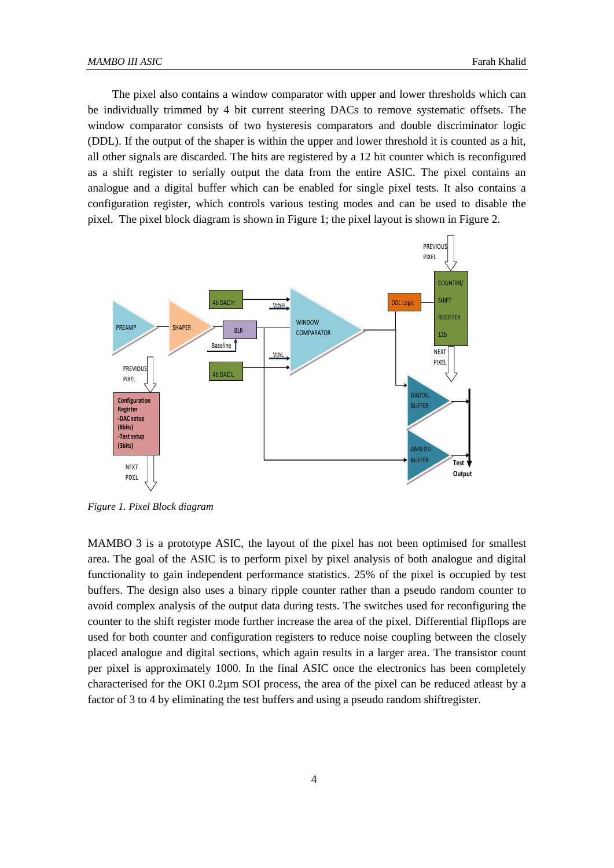The pixel also contains a window comparator with upper and lower thresholds which can be individually trimmed by 4 bit current steering DACs to remove systematic offsets. The window comparator consists of two hysteresis comparators and double discriminator logic (DDL). If the output of the shaper is within the upper and lower threshold it is counted as a hit, all other signals are discarded. The hits are registered by a 12 bit counter which is reconfigured as a shift register to serially output the data from the entire ASIC. The pixel contains an analogue and a digital buffer which can be enabled for single pixel tests. It also contains a configuration register, which controls various testing modes and can be used to disable the pixel. The pixel block diagram is shown in Figure 1; the pixel layout is shown in Figure 2.



*Figure 1. Pixel Block diagram*

MAMBO 3 is a prototype ASIC, the layout of the pixel has not been optimised for smallest area. The goal of the ASIC is to perform pixel by pixel analysis of both analogue and digital functionality to gain independent performance statistics. 25% of the pixel is occupied by test buffers. The design also uses a binary ripple counter rather than a pseudo random counter to avoid complex analysis of the output data during tests. The switches used for reconfiguring the counter to the shift register mode further increase the area of the pixel. Differential flipflops are used for both counter and configuration registers to reduce noise coupling between the closely placed analogue and digital sections, which again results in a larger area. The transistor count per pixel is approximately 1000. In the final ASIC once the electronics has been completely characterised for the OKI 0.2µm SOI process, the area of the pixel can be reduced atleast by a factor of 3 to 4 by eliminating the test buffers and using a pseudo random shiftregister.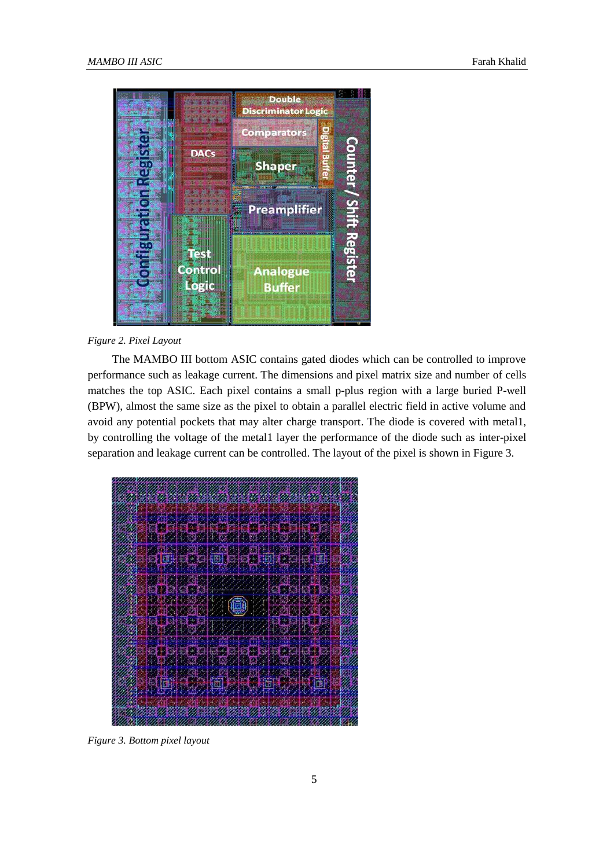

#### *Figure 2. Pixel Layout*

The MAMBO III bottom ASIC contains gated diodes which can be controlled to improve performance such as leakage current. The dimensions and pixel matrix size and number of cells matches the top ASIC. Each pixel contains a small p-plus region with a large buried P-well (BPW), almost the same size as the pixel to obtain a parallel electric field in active volume and avoid any potential pockets that may alter charge transport. The diode is covered with metal1, by controlling the voltage of the metal1 layer the performance of the diode such as inter-pixel separation and leakage current can be controlled. The layout of the pixel is shown in Figure 3.



*Figure 3. Bottom pixel layout*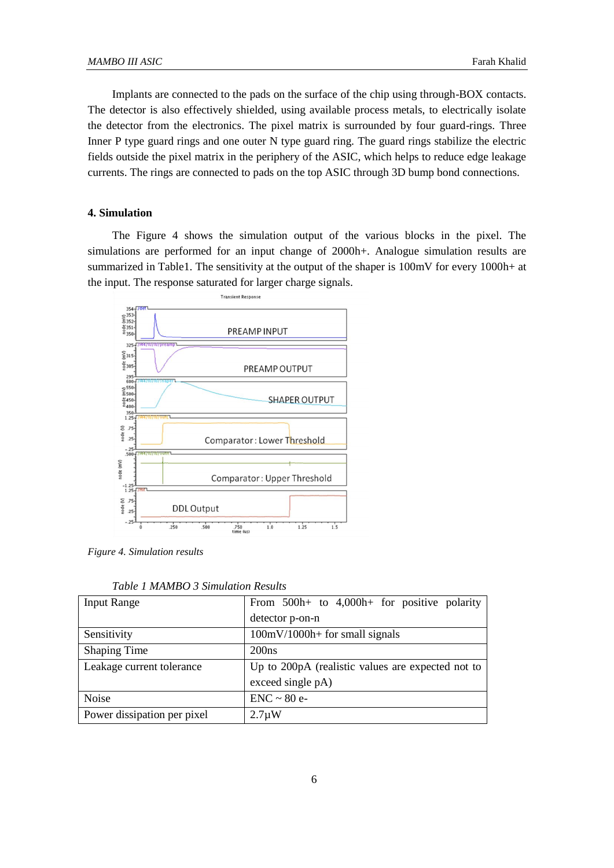Implants are connected to the pads on the surface of the chip using through-BOX contacts. The detector is also effectively shielded, using available process metals, to electrically isolate the detector from the electronics. The pixel matrix is surrounded by four guard-rings. Three Inner P type guard rings and one outer N type guard ring. The guard rings stabilize the electric fields outside the pixel matrix in the periphery of the ASIC, which helps to reduce edge leakage currents. The rings are connected to pads on the top ASIC through 3D bump bond connections.

#### **4. Simulation**

The Figure 4 shows the simulation output of the various blocks in the pixel. The simulations are performed for an input change of 2000h+. Analogue simulation results are summarized in Table1. The sensitivity at the output of the shaper is 100mV for every 1000h+ at the input. The response saturated for larger charge signals.



*Figure 4. Simulation results*

| <b>Input Range</b>          | From $500h+$ to $4,000h+$ for positive polarity   |
|-----------------------------|---------------------------------------------------|
|                             | detector p-on-n                                   |
| Sensitivity                 | $100mV/1000h+$ for small signals                  |
| <b>Shaping Time</b>         | 200ns                                             |
| Leakage current tolerance   | Up to 200pA (realistic values are expected not to |
|                             | exceed single pA)                                 |
| <b>Noise</b>                | $ENC \sim 80$ e-                                  |
| Power dissipation per pixel | $2.7 \mu W$                                       |

*Table 1 MAMBO 3 Simulation Results*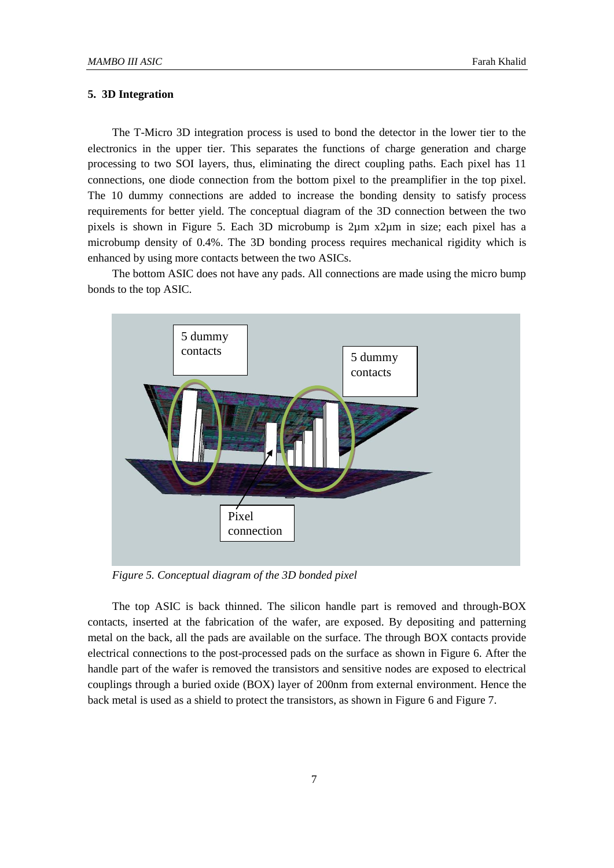## **5. 3D Integration**

The T-Micro 3D integration process is used to bond the detector in the lower tier to the electronics in the upper tier. This separates the functions of charge generation and charge processing to two SOI layers, thus, eliminating the direct coupling paths. Each pixel has 11 connections, one diode connection from the bottom pixel to the preamplifier in the top pixel. The 10 dummy connections are added to increase the bonding density to satisfy process requirements for better yield. The conceptual diagram of the 3D connection between the two pixels is shown in Figure 5. Each 3D microbump is 2µm x2µm in size; each pixel has a microbump density of 0.4%. The 3D bonding process requires mechanical rigidity which is enhanced by using more contacts between the two ASICs.

The bottom ASIC does not have any pads. All connections are made using the micro bump bonds to the top ASIC.



*Figure 5. Conceptual diagram of the 3D bonded pixel*

The top ASIC is back thinned. The silicon handle part is removed and through-BOX contacts, inserted at the fabrication of the wafer, are exposed. By depositing and patterning metal on the back, all the pads are available on the surface. The through BOX contacts provide electrical connections to the post-processed pads on the surface as shown in Figure 6. After the handle part of the wafer is removed the transistors and sensitive nodes are exposed to electrical couplings through a buried oxide (BOX) layer of 200nm from external environment. Hence the back metal is used as a shield to protect the transistors, as shown in Figure 6 and Figure 7.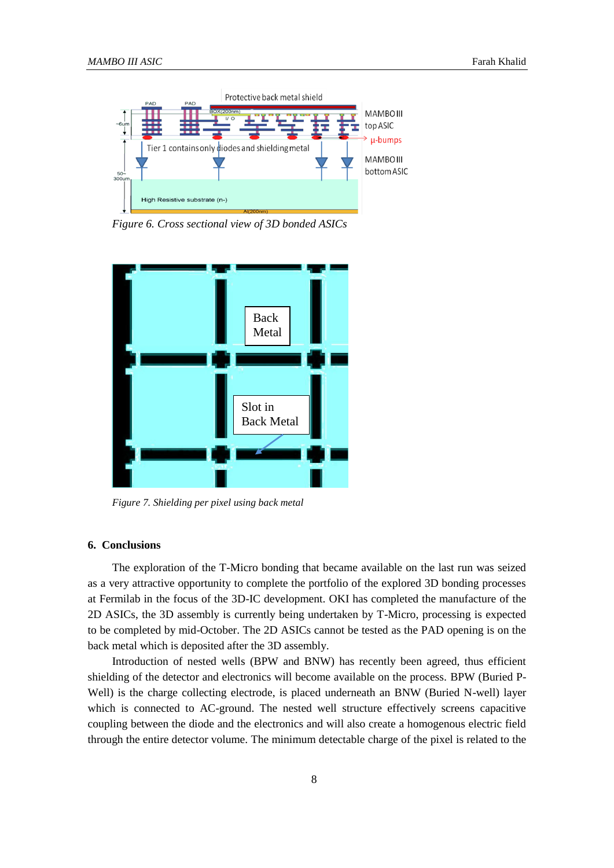

*Figure 6. Cross sectional view of 3D bonded ASICs*



*Figure 7. Shielding per pixel using back metal*

#### **6. Conclusions**

The exploration of the T-Micro bonding that became available on the last run was seized as a very attractive opportunity to complete the portfolio of the explored 3D bonding processes at Fermilab in the focus of the 3D-IC development. OKI has completed the manufacture of the 2D ASICs, the 3D assembly is currently being undertaken by T-Micro, processing is expected to be completed by mid-October. The 2D ASICs cannot be tested as the PAD opening is on the back metal which is deposited after the 3D assembly.

Introduction of nested wells (BPW and BNW) has recently been agreed, thus efficient shielding of the detector and electronics will become available on the process. BPW (Buried P-Well) is the charge collecting electrode, is placed underneath an BNW (Buried N-well) layer which is connected to AC-ground. The nested well structure effectively screens capacitive coupling between the diode and the electronics and will also create a homogenous electric field through the entire detector volume. The minimum detectable charge of the pixel is related to the